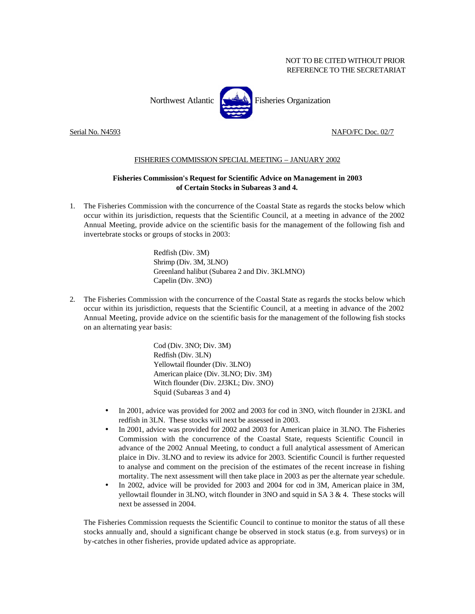## NOT TO BE CITED WITHOUT PRIOR REFERENCE TO THE SECRETARIAT



## Serial No. N4593 NAFO/FC Doc. 02/7

## FISHERIES COMMISSION SPECIAL MEETING – JANUARY 2002

## **Fisheries Commission's Request for Scientific Advice on Management in 2003 of Certain Stocks in Subareas 3 and 4.**

1. The Fisheries Commission with the concurrence of the Coastal State as regards the stocks below which occur within its jurisdiction, requests that the Scientific Council, at a meeting in advance of the 2002 Annual Meeting, provide advice on the scientific basis for the management of the following fish and invertebrate stocks or groups of stocks in 2003:

> Redfish (Div. 3M) Shrimp (Div. 3M, 3LNO) Greenland halibut (Subarea 2 and Div. 3KLMNO) Capelin (Div. 3NO)

2. The Fisheries Commission with the concurrence of the Coastal State as regards the stocks below which occur within its jurisdiction, requests that the Scientific Council, at a meeting in advance of the 2002 Annual Meeting, provide advice on the scientific basis for the management of the following fish stocks on an alternating year basis:

> Cod (Div. 3NO; Div. 3M) Redfish (Div. 3LN) Yellowtail flounder (Div. 3LNO) American plaice (Div. 3LNO; Div. 3M) Witch flounder (Div. 2J3KL; Div. 3NO) Squid (Subareas 3 and 4)

- In 2001, advice was provided for 2002 and 2003 for cod in 3NO, witch flounder in 2J3KL and redfish in 3LN. These stocks will next be assessed in 2003.
- In 2001, advice was provided for 2002 and 2003 for American plaice in 3LNO. The Fisheries Commission with the concurrence of the Coastal State, requests Scientific Council in advance of the 2002 Annual Meeting, to conduct a full analytical assessment of American plaice in Div. 3LNO and to review its advice for 2003. Scientific Council is further requested to analyse and comment on the precision of the estimates of the recent increase in fishing mortality. The next assessment will then take place in 2003 as per the alternate year schedule.
- In 2002, advice will be provided for 2003 and 2004 for cod in 3M, American plaice in 3M, yellowtail flounder in 3LNO, witch flounder in 3NO and squid in SA 3 & 4. These stocks will next be assessed in 2004.

The Fisheries Commission requests the Scientific Council to continue to monitor the status of all these stocks annually and, should a significant change be observed in stock status (e.g. from surveys) or in by-catches in other fisheries, provide updated advice as appropriate.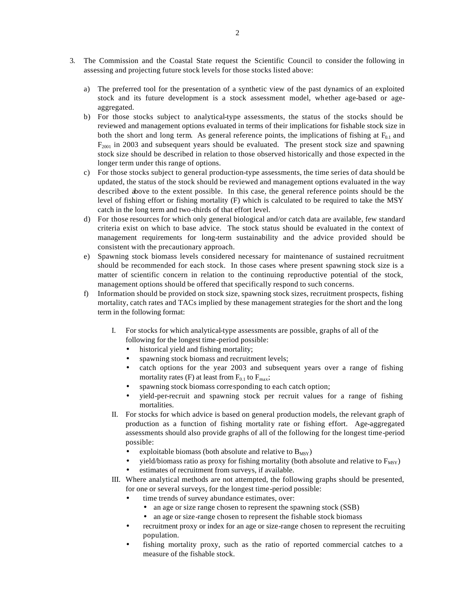- 3. The Commission and the Coastal State request the Scientific Council to consider the following in assessing and projecting future stock levels for those stocks listed above:
	- a) The preferred tool for the presentation of a synthetic view of the past dynamics of an exploited stock and its future development is a stock assessment model, whether age-based or ageaggregated.
	- b) For those stocks subject to analytical-type assessments, the status of the stocks should be reviewed and management options evaluated in terms of their implications for fishable stock size in both the short and long term. As general reference points, the implications of fishing at  $F_{0.1}$  and  $F<sub>2001</sub>$  in 2003 and subsequent years should be evaluated. The present stock size and spawning stock size should be described in relation to those observed historically and those expected in the longer term under this range of options.
	- c) For those stocks subject to general production-type assessments, the time series of data should be updated, the status of the stock should be reviewed and management options evaluated in the way described above to the extent possible. In this case, the general reference points should be the level of fishing effort or fishing mortality (F) which is calculated to be required to take the MSY catch in the long term and two-thirds of that effort level.
	- d) For those resources for which only general biological and/or catch data are available, few standard criteria exist on which to base advice. The stock status should be evaluated in the context of management requirements for long-term sustainability and the advice provided should be consistent with the precautionary approach.
	- e) Spawning stock biomass levels considered necessary for maintenance of sustained recruitment should be recommended for each stock. In those cases where present spawning stock size is a matter of scientific concern in relation to the continuing reproductive potential of the stock, management options should be offered that specifically respond to such concerns.
	- f) Information should be provided on stock size, spawning stock sizes, recruitment prospects, fishing mortality, catch rates and TACs implied by these management strategies for the short and the long term in the following format:
		- I. For stocks for which analytical-type assessments are possible, graphs of all of the following for the longest time-period possible:
			- historical yield and fishing mortality;
			- spawning stock biomass and recruitment levels;
			- catch options for the year 2003 and subsequent years over a range of fishing mortality rates (F) at least from  $F_{0.1}$  to  $F_{\text{max}}$ ;
			- spawning stock biomass corresponding to each catch option;
			- yield-per-recruit and spawning stock per recruit values for a range of fishing mortalities.
		- II. For stocks for which advice is based on general production models, the relevant graph of production as a function of fishing mortality rate or fishing effort. Age-aggregated assessments should also provide graphs of all of the following for the longest time-period possible:
			- exploitable biomass (both absolute and relative to  $B_{MSY}$ )
			- yield/biomass ratio as proxy for fishing mortality (both absolute and relative to  $F_{MSY}$ )
			- estimates of recruitment from surveys, if available.
		- III. Where analytical methods are not attempted, the following graphs should be presented, for one or several surveys, for the longest time-period possible:
			- time trends of survey abundance estimates, over:
				- an age or size range chosen to represent the spawning stock (SSB)
				- an age or size-range chosen to represent the fishable stock biomass
			- recruitment proxy or index for an age or size-range chosen to represent the recruiting population.
			- fishing mortality proxy, such as the ratio of reported commercial catches to a measure of the fishable stock.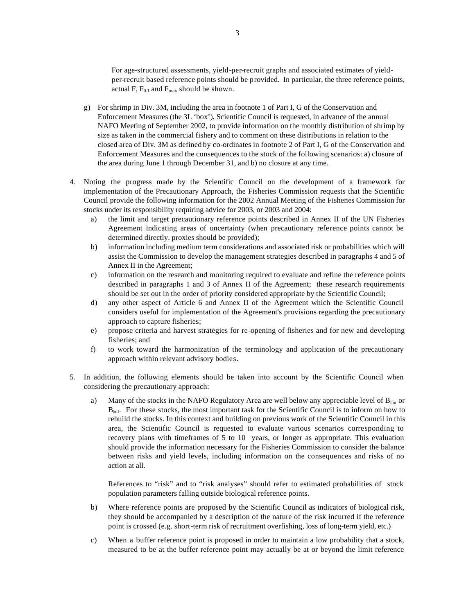For age-structured assessments, yield-per-recruit graphs and associated estimates of yieldper-recruit based reference points should be provided. In particular, the three reference points, actual F,  $F_{0.1}$  and  $F_{max}$  should be shown.

- g) For shrimp in Div. 3M, including the area in footnote 1 of Part I, G of the Conservation and Enforcement Measures (the 3L 'box'), Scientific Council is requested, in advance of the annual NAFO Meeting of September 2002, to provide information on the monthly distribution of shrimp by size as taken in the commercial fishery and to comment on these distributions in relation to the closed area of Div. 3M as defined by co-ordinates in footnote 2 of Part I, G of the Conservation and Enforcement Measures and the consequences to the stock of the following scenarios: a) closure of the area during June 1 through December 31, and b) no closure at any time.
- 4. Noting the progress made by the Scientific Council on the development of a framework for implementation of the Precautionary Approach, the Fisheries Commission requests that the Scientific Council provide the following information for the 2002 Annual Meeting of the Fisheries Commission for stocks under its responsibility requiring advice for 2003, or 2003 and 2004:
	- a) the limit and target precautionary reference points described in Annex II of the UN Fisheries Agreement indicating areas of uncertainty (when precautionary reference points cannot be determined directly, proxies should be provided);
	- b) information including medium term considerations and associated risk or probabilities which will assist the Commission to develop the management strategies described in paragraphs 4 and 5 of Annex II in the Agreement;
	- c) information on the research and monitoring required to evaluate and refine the reference points described in paragraphs 1 and 3 of Annex II of the Agreement; these research requirements should be set out in the order of priority considered appropriate by the Scientific Council;
	- d) any other aspect of Article 6 and Annex II of the Agreement which the Scientific Council considers useful for implementation of the Agreement's provisions regarding the precautionary approach to capture fisheries;
	- e) propose criteria and harvest strategies for re-opening of fisheries and for new and developing fisheries; and
	- f) to work toward the harmonization of the terminology and application of the precautionary approach within relevant advisory bodies.
- 5. In addition, the following elements should be taken into account by the Scientific Council when considering the precautionary approach:
	- a) Many of the stocks in the NAFO Regulatory Area are well below any appreciable level of  $B_{lim}$  or  $B_{\text{buf}}$ . For these stocks, the most important task for the Scientific Council is to inform on how to rebuild the stocks. In this context and building on previous work of the Scientific Council in this area, the Scientific Council is requested to evaluate various scenarios corresponding to recovery plans with timeframes of 5 to 10 years, or longer as appropriate. This evaluation should provide the information necessary for the Fisheries Commission to consider the balance between risks and yield levels, including information on the consequences and risks of no action at all.

References to "risk" and to "risk analyses" should refer to estimated probabilities of stock population parameters falling outside biological reference points.

- b) Where reference points are proposed by the Scientific Council as indicators of biological risk, they should be accompanied by a description of the nature of the risk incurred if the reference point is crossed (e.g. short-term risk of recruitment overfishing, loss of long-term yield, etc.)
- c) When a buffer reference point is proposed in order to maintain a low probability that a stock, measured to be at the buffer reference point may actually be at or beyond the limit reference